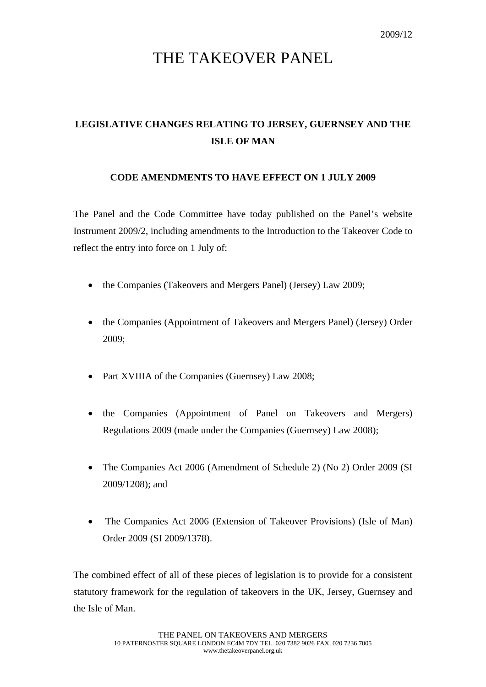## THE TAKEOVER PANEL

## **LEGISLATIVE CHANGES RELATING TO JERSEY, GUERNSEY AND THE ISLE OF MAN**

## **CODE AMENDMENTS TO HAVE EFFECT ON 1 JULY 2009**

The Panel and the Code Committee have today published on the Panel's website Instrument 2009/2, including amendments to the Introduction to the Takeover Code to reflect the entry into force on 1 July of:

- the Companies (Takeovers and Mergers Panel) (Jersey) Law 2009;
- the Companies (Appointment of Takeovers and Mergers Panel) (Jersey) Order 2009;
- Part XVIIIA of the Companies (Guernsey) Law 2008;
- the Companies (Appointment of Panel on Takeovers and Mergers) Regulations 2009 (made under the Companies (Guernsey) Law 2008);
- The Companies Act 2006 (Amendment of Schedule 2) (No 2) Order 2009 (SI 2009/1208); and
- The Companies Act 2006 (Extension of Takeover Provisions) (Isle of Man) Order 2009 (SI 2009/1378).

The combined effect of all of these pieces of legislation is to provide for a consistent statutory framework for the regulation of takeovers in the UK, Jersey, Guernsey and the Isle of Man.